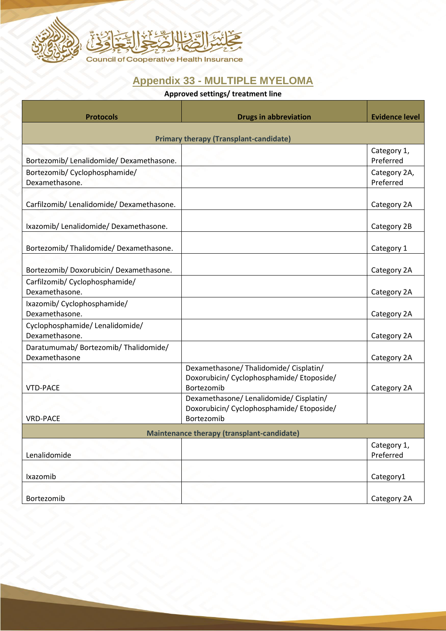

## **Appendix 33 - MULTIPLE MYELOMA**

## **Approved settings/ treatment line**

| <b>Protocols</b>                                       | <b>Drugs in abbreviation</b>                                                                                     | <b>Evidence level</b>     |  |
|--------------------------------------------------------|------------------------------------------------------------------------------------------------------------------|---------------------------|--|
| <b>Primary therapy (Transplant-candidate)</b>          |                                                                                                                  |                           |  |
| Bortezomib/ Lenalidomide/ Dexamethasone.               |                                                                                                                  | Category 1,<br>Preferred  |  |
| Bortezomib/ Cyclophosphamide/<br>Dexamethasone.        |                                                                                                                  | Category 2A,<br>Preferred |  |
| Carfilzomib/ Lenalidomide/ Dexamethasone.              |                                                                                                                  | Category 2A               |  |
| Ixazomib/ Lenalidomide/ Dexamethasone.                 |                                                                                                                  | Category 2B               |  |
| Bortezomib/ Thalidomide/ Dexamethasone.                |                                                                                                                  | Category 1                |  |
| Bortezomib/Doxorubicin/Dexamethasone.                  |                                                                                                                  | Category 2A               |  |
| Carfilzomib/ Cyclophosphamide/<br>Dexamethasone.       |                                                                                                                  | Category 2A               |  |
| Ixazomib/ Cyclophosphamide/<br>Dexamethasone.          |                                                                                                                  | Category 2A               |  |
| Cyclophosphamide/ Lenalidomide/<br>Dexamethasone.      |                                                                                                                  | Category 2A               |  |
| Daratumumab/ Bortezomib/ Thalidomide/<br>Dexamethasone |                                                                                                                  | Category 2A               |  |
|                                                        | Dexamethasone/ Thalidomide/ Cisplatin/<br>Doxorubicin/ Cyclophosphamide/ Etoposide/                              |                           |  |
| <b>VTD-PACE</b><br><b>VRD-PACE</b>                     | Bortezomib<br>Dexamethasone/ Lenalidomide/ Cisplatin/<br>Doxorubicin/ Cyclophosphamide/ Etoposide/<br>Bortezomib | Category 2A               |  |
| <b>Maintenance therapy (transplant-candidate)</b>      |                                                                                                                  |                           |  |
| Lenalidomide                                           |                                                                                                                  | Category 1,<br>Preferred  |  |
| Ixazomib                                               |                                                                                                                  | Category1                 |  |
| Bortezomib                                             |                                                                                                                  | Category 2A               |  |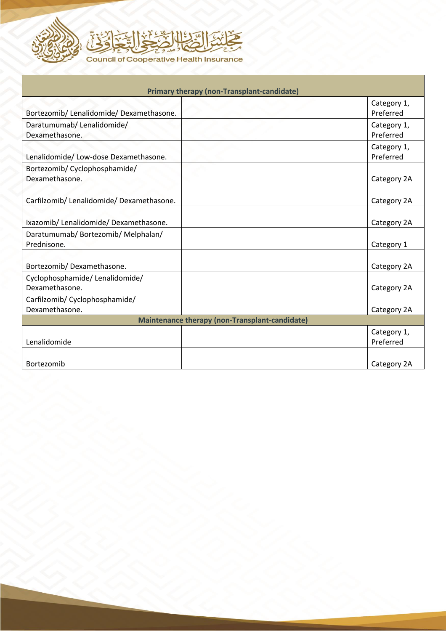



| <b>Primary therapy (non-Transplant-candidate)</b> |  |                          |
|---------------------------------------------------|--|--------------------------|
|                                                   |  | Category 1,              |
| Bortezomib/ Lenalidomide/ Dexamethasone.          |  | Preferred                |
| Daratumumab/Lenalidomide/<br>Dexamethasone.       |  | Category 1,<br>Preferred |
|                                                   |  | Category 1,              |
| Lenalidomide/ Low-dose Dexamethasone.             |  | Preferred                |
| Bortezomib/ Cyclophosphamide/                     |  |                          |
| Dexamethasone.                                    |  | Category 2A              |
|                                                   |  |                          |
| Carfilzomib/ Lenalidomide/ Dexamethasone.         |  | Category 2A              |
|                                                   |  |                          |
| Ixazomib/ Lenalidomide/ Dexamethasone.            |  | Category 2A              |
| Daratumumab/ Bortezomib/ Melphalan/               |  |                          |
| Prednisone.                                       |  | Category 1               |
|                                                   |  |                          |
| Bortezomib/Dexamethasone.                         |  | Category 2A              |
| Cyclophosphamide/ Lenalidomide/                   |  |                          |
| Dexamethasone.                                    |  | Category 2A              |
| Carfilzomib/ Cyclophosphamide/                    |  |                          |
| Dexamethasone.                                    |  | Category 2A              |
| Maintenance therapy (non-Transplant-candidate)    |  |                          |
|                                                   |  | Category 1,              |
| Lenalidomide                                      |  | Preferred                |
|                                                   |  |                          |
| Bortezomib                                        |  | Category 2A              |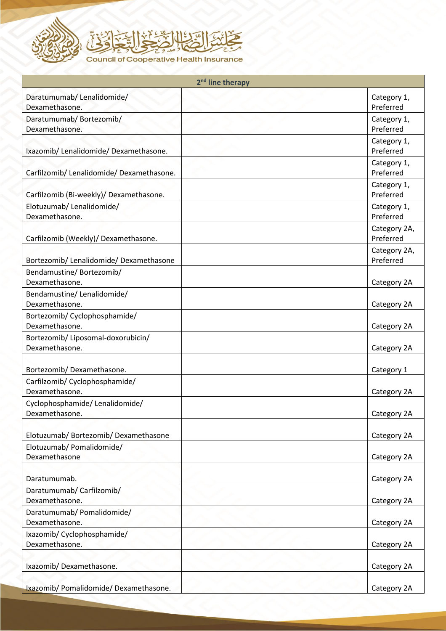

| 2 <sup>nd</sup> line therapy                     |                           |  |
|--------------------------------------------------|---------------------------|--|
| Daratumumab/Lenalidomide/                        | Category 1,               |  |
| Dexamethasone.                                   | Preferred                 |  |
| Daratumumab/Bortezomib/                          | Category 1,               |  |
| Dexamethasone.                                   | Preferred                 |  |
| Ixazomib/ Lenalidomide/ Dexamethasone.           | Category 1,<br>Preferred  |  |
|                                                  | Category 1,               |  |
| Carfilzomib/ Lenalidomide/ Dexamethasone.        | Preferred                 |  |
|                                                  | Category 1,               |  |
| Carfilzomib (Bi-weekly)/ Dexamethasone.          | Preferred                 |  |
| Elotuzumab/Lenalidomide/                         | Category 1,               |  |
| Dexamethasone.                                   | Preferred                 |  |
| Carfilzomib (Weekly)/ Dexamethasone.             | Category 2A,<br>Preferred |  |
|                                                  | Category 2A,              |  |
| Bortezomib/ Lenalidomide/ Dexamethasone          | Preferred                 |  |
| Bendamustine/Bortezomib/                         |                           |  |
| Dexamethasone.                                   | Category 2A               |  |
| Bendamustine/Lenalidomide/                       |                           |  |
| Dexamethasone.                                   | Category 2A               |  |
| Bortezomib/ Cyclophosphamide/<br>Dexamethasone.  | Category 2A               |  |
| Bortezomib/ Liposomal-doxorubicin/               |                           |  |
| Dexamethasone.                                   | Category 2A               |  |
|                                                  |                           |  |
| Bortezomib/Dexamethasone.                        | Category 1                |  |
| Carfilzomib/ Cyclophosphamide/<br>Dexamethasone. | Category 2A               |  |
| Cyclophosphamide/Lenalidomide/                   |                           |  |
| Dexamethasone.                                   | Category 2A               |  |
|                                                  |                           |  |
| Elotuzumab/ Bortezomib/ Dexamethasone            | Category 2A               |  |
| Elotuzumab/ Pomalidomide/                        |                           |  |
| Dexamethasone                                    | Category 2A               |  |
| Daratumumab.                                     | Category 2A               |  |
| Daratumumab/ Carfilzomib/                        |                           |  |
| Dexamethasone.                                   | Category 2A               |  |
| Daratumumab/ Pomalidomide/                       |                           |  |
| Dexamethasone.                                   | Category 2A               |  |
| Ixazomib/ Cyclophosphamide/<br>Dexamethasone.    |                           |  |
|                                                  | Category 2A               |  |
| Ixazomib/Dexamethasone.                          | Category 2A               |  |
|                                                  |                           |  |
| Ixazomib/ Pomalidomide/ Dexamethasone.           | Category 2A               |  |